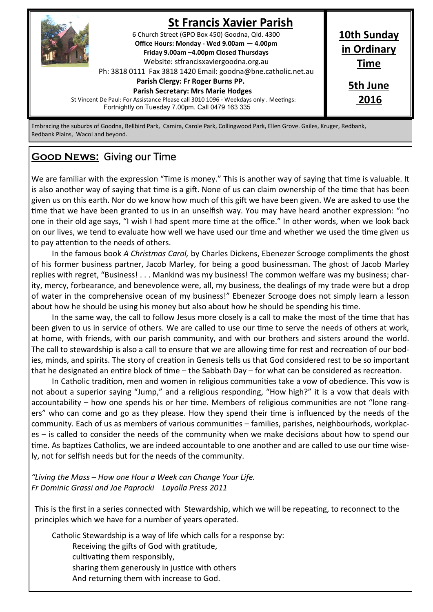

### **St Francis Xavier Parish**

**10th Sunday in Ordinary Time**

> **5th June 2016**

6 Church Street (GPO Box 450) Goodna, Qld. 4300 **Office Hours: Monday - Wed 9.00am — 4.00pm Friday 9.00am –4.00pm Closed Thursdays**  Website: stfrancisxaviergoodna.org.au

Ph: 3818 0111 Fax 3818 1420 Email: goodna@bne.catholic.net.au

### **Parish Clergy: Fr Roger Burns PP.**

#### **Parish Secretary: Mrs Marie Hodges**

St Vincent De Paul: For Assistance Please call 3010 1096 - Weekdays only . Meetings: Fortnightly on Tuesday 7.00pm. Call 0479 163 335

Embracing the suburbs of Goodna, Bellbird Park, Camira, Carole Park, Collingwood Park, Ellen Grove. Gailes, Kruger, Redbank, Redbank Plains, Wacol and beyond.

# **Good News:** Giving our Time

We are familiar with the expression "Time is money." This is another way of saying that time is valuable. It is also another way of saying that time is a gift. None of us can claim ownership of the time that has been given us on this earth. Nor do we know how much of this gift we have been given. We are asked to use the time that we have been granted to us in an unselfish way. You may have heard another expression: "no one in their old age says, "I wish I had spent more time at the office." In other words, when we look back on our lives, we tend to evaluate how well we have used our time and whether we used the time given us to pay attention to the needs of others.

In the famous book *A Christmas Carol,* by Charles Dickens, Ebenezer Scrooge compliments the ghost of his former business partner, Jacob Marley, for being a good businessman. The ghost of Jacob Marley replies with regret, "Business! . . . Mankind was my business! The common welfare was my business; charity, mercy, forbearance, and benevolence were, all, my business, the dealings of my trade were but a drop of water in the comprehensive ocean of my business!" Ebenezer Scrooge does not simply learn a lesson about how he should be using his money but also about how he should be spending his time.

In the same way, the call to follow Jesus more closely is a call to make the most of the time that has been given to us in service of others. We are called to use our time to serve the needs of others at work, at home, with friends, with our parish community, and with our brothers and sisters around the world. The call to stewardship is also a call to ensure that we are allowing time for rest and recreation of our bodies, minds, and spirits. The story of creation in Genesis tells us that God considered rest to be so important that he designated an entire block of time – the Sabbath Day – for what can be considered as recreation.

In Catholic tradition, men and women in religious communities take a vow of obedience. This vow is not about a superior saying "Jump," and a religious responding, "How high?" it is a vow that deals with accountability – how one spends his or her time. Members of religious communities are not "lone rangers" who can come and go as they please. How they spend their time is influenced by the needs of the community. Each of us as members of various communities – families, parishes, neighbourhods, workplaces – is called to consider the needs of the community when we make decisions about how to spend our time. As baptizes Catholics, we are indeed accountable to one another and are called to use our time wisely, not for selfish needs but for the needs of the community.

*"Living the Mass – How one Hour a Week can Change Your Life. Fr Dominic Grassi and Joe Paprocki Layolla Press 2011*

This is the first in a series connected with Stewardship, which we will be repeating, to reconnect to the principles which we have for a number of years operated.

Catholic Stewardship is a way of life which calls for a response by:

Receiving the gifts of God with gratitude,

cultivating them responsibly,

sharing them generously in justice with others

And returning them with increase to God.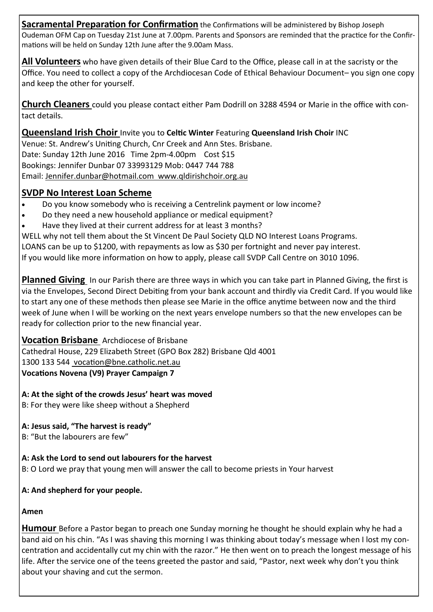**Sacramental Preparation for Confirmation** the Confirmations will be administered by Bishop Joseph Oudeman OFM Cap on Tuesday 21st June at 7.00pm. Parents and Sponsors are reminded that the practice for the Confirmations will be held on Sunday 12th June after the 9.00am Mass.

**All Volunteers** who have given details of their Blue Card to the Office, please call in at the sacristy or the Office. You need to collect a copy of the Archdiocesan Code of Ethical Behaviour Document– you sign one copy and keep the other for yourself.

**Church Cleaners** could you please contact either Pam Dodrill on 3288 4594 or Marie in the office with contact details.

**Queensland Irish Choir** Invite you to **Celtic Winter** Featuring **Queensland Irish Choir** INC Venue: St. Andrew's Uniting Church, Cnr Creek and Ann Stes. Brisbane. Date: Sunday 12th June 2016 Time 2pm-4.00pm Cost \$15 Bookings: Jennifer Dunbar 07 33993129 Mob: 0447 744 788 Email: Jennifer.dunbar@hotmail.com www.qldirishchoir.org.au

### **SVDP No Interest Loan Scheme**

- Do you know somebody who is receiving a Centrelink payment or low income?
- Do they need a new household appliance or medical equipment?
- Have they lived at their current address for at least 3 months?

WELL why not tell them about the St Vincent De Paul Society QLD NO Interest Loans Programs. LOANS can be up to \$1200, with repayments as low as \$30 per fortnight and never pay interest.

If you would like more information on how to apply, please call SVDP Call Centre on 3010 1096.

**Planned Giving** In our Parish there are three ways in which you can take part in Planned Giving, the first is via the Envelopes, Second Direct Debiting from your bank account and thirdly via Credit Card. If you would like to start any one of these methods then please see Marie in the office anytime between now and the third week of June when I will be working on the next years envelope numbers so that the new envelopes can be ready for collection prior to the new financial year.

**Vocation Brisbane** Archdiocese of Brisbane

Cathedral House, 229 Elizabeth Street (GPO Box 282) Brisbane Qld 4001

1300 133 544 vocation@bne.catholic.net.au

**Vocations Novena (V9) Prayer Campaign 7**

**A: At the sight of the crowds Jesus' heart was moved**

B: For they were like sheep without a Shepherd

**A: Jesus said, "The harvest is ready"**

B: "But the labourers are few"

**A: Ask the Lord to send out labourers for the harvest** B: O Lord we pray that young men will answer the call to become priests in Your harvest

**A: And shepherd for your people.**

**Amen**

**Humour** Before a Pastor began to preach one Sunday morning he thought he should explain why he had a band aid on his chin. "As I was shaving this morning I was thinking about today's message when I lost my concentration and accidentally cut my chin with the razor." He then went on to preach the longest message of his life. After the service one of the teens greeted the pastor and said, "Pastor, next week why don't you think about your shaving and cut the sermon.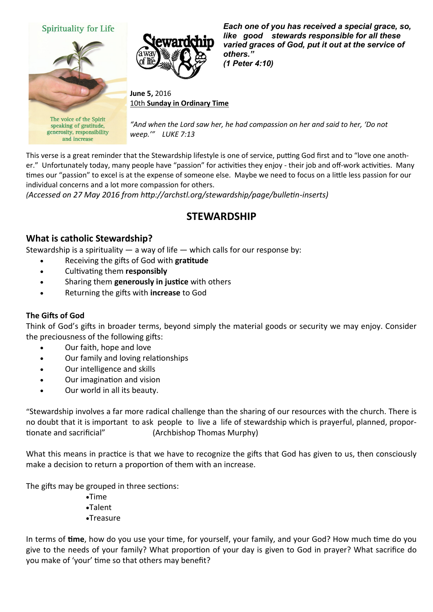

This verse is a great reminder that the Stewardship lifestyle is one of service, putting God first and to "love one another." Unfortunately today, many people have "passion" for activities they enjoy - their job and off-work activities. Many times our "passion" to excel is at the expense of someone else. Maybe we need to focus on a little less passion for our individual concerns and a lot more compassion for others.

*(Accessed on 27 May 2016 from http://archstl.org/stewardship/page/bulletin-inserts)* 

## **STEWARDSHIP**

#### **What is catholic Stewardship?**

Stewardship is a spirituality  $-$  a way of life  $-$  which calls for our response by:

- Receiving the gifts of God with **gratitude**
- Cultivating them **responsibly**
- Sharing them **generously in justice** with others
- Returning the gifts with **increase** to God

#### **The Gifts of God**

Think of God's gifts in broader terms, beyond simply the material goods or security we may enjoy. Consider the preciousness of the following gifts:

- Our faith, hope and love
- Our family and loving relationships
- Our intelligence and skills
- Our imagination and vision
- Our world in all its beauty.

"Stewardship involves a far more radical challenge than the sharing of our resources with the church. There is no doubt that it is important to ask people to live a life of stewardship which is prayerful, planned, proportionate and sacrificial" (Archbishop Thomas Murphy)

What this means in practice is that we have to recognize the gifts that God has given to us, then consciously make a decision to return a proportion of them with an increase.

The gifts may be grouped in three sections:

 $\bullet$ Time Talent Treasure

In terms of **time**, how do you use your time, for yourself, your family, and your God? How much time do you give to the needs of your family? What proportion of your day is given to God in prayer? What sacrifice do you make of 'your' time so that others may benefit?